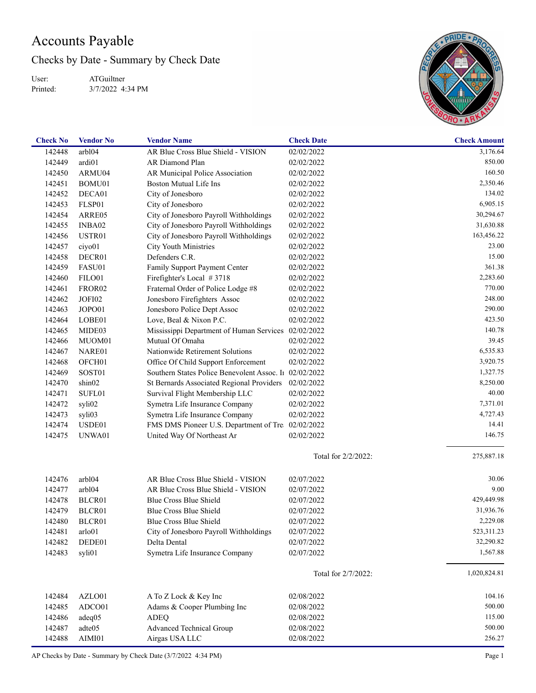## Accounts Payable

Checks by Date - Summary by Check Date

User: Printed: ATGuiltner 3/7/2022 4:34 PM



| <b>Check No</b> | <b>Vendor No</b>   | <b>Vendor Name</b>                                     | <b>Check Date</b>   | <b>Check Amount</b> |
|-----------------|--------------------|--------------------------------------------------------|---------------------|---------------------|
| 142448          | arbl04             | AR Blue Cross Blue Shield - VISION                     | 02/02/2022          | 3,176.64            |
| 142449          | ardi01             | AR Diamond Plan                                        | 02/02/2022          | 850.00              |
| 142450          | ARMU04             | AR Municipal Police Association                        | 02/02/2022          | 160.50              |
| 142451          | BOMU01             | <b>Boston Mutual Life Ins</b>                          | 02/02/2022          | 2,350.46            |
| 142452          | DECA01             | City of Jonesboro                                      | 02/02/2022          | 134.02              |
| 142453          | FLSP01             | City of Jonesboro                                      | 02/02/2022          | 6,905.15            |
| 142454          | ARRE05             | City of Jonesboro Payroll Withholdings                 | 02/02/2022          | 30,294.67           |
| 142455          | INBA02             | City of Jonesboro Payroll Withholdings                 | 02/02/2022          | 31,630.88           |
| 142456          | USTR01             | City of Jonesboro Payroll Withholdings                 | 02/02/2022          | 163,456.22          |
| 142457          | ciyo01             | City Youth Ministries                                  | 02/02/2022          | 23.00               |
| 142458          | DECR01             | Defenders C.R.                                         | 02/02/2022          | 15.00               |
| 142459          | FASU01             | Family Support Payment Center                          | 02/02/2022          | 361.38              |
| 142460          | FILO01             | Firefighter's Local #3718                              | 02/02/2022          | 2,283.60            |
| 142461          | FROR <sub>02</sub> | Fraternal Order of Police Lodge #8                     | 02/02/2022          | 770.00              |
| 142462          | JOFI02             | Jonesboro Firefighters Assoc                           | 02/02/2022          | 248.00              |
| 142463          | JOPO01             | Jonesboro Police Dept Assoc                            | 02/02/2022          | 290.00              |
| 142464          | LOBE01             | Love, Beal & Nixon P.C.                                | 02/02/2022          | 423.50              |
| 142465          | MIDE03             | Mississippi Department of Human Services 02/02/2022    |                     | 140.78              |
| 142466          | MUOM01             | Mutual Of Omaha                                        | 02/02/2022          | 39.45               |
| 142467          | NARE01             | Nationwide Retirement Solutions                        | 02/02/2022          | 6,535.83            |
| 142468          | OFCH <sub>01</sub> | Office Of Child Support Enforcement                    | 02/02/2022          | 3,920.75            |
|                 |                    | Southern States Police Benevolent Assoc. In 02/02/2022 |                     | 1,327.75            |
| 142469          | SOST01             |                                                        |                     | 8,250.00            |
| 142470          | shin02             | St Bernards Associated Regional Providers              | 02/02/2022          |                     |
| 142471          | SUFL01             | Survival Flight Membership LLC                         | 02/02/2022          | 40.00               |
| 142472          | syli02             | Symetra Life Insurance Company                         | 02/02/2022          | 7,371.01            |
| 142473          | syli03             | Symetra Life Insurance Company                         | 02/02/2022          | 4,727.43            |
| 142474          | USDE01             | FMS DMS Pioneer U.S. Department of Tre 02/02/2022      |                     | 14.41               |
| 142475          | UNWA01             | United Way Of Northeast Ar                             | 02/02/2022          | 146.75              |
|                 |                    |                                                        | Total for 2/2/2022: | 275,887.18          |
| 142476          | arbl04             | AR Blue Cross Blue Shield - VISION                     | 02/07/2022          | 30.06               |
| 142477          | arb104             | AR Blue Cross Blue Shield - VISION                     | 02/07/2022          | 9.00                |
| 142478          | BLCR01             | <b>Blue Cross Blue Shield</b>                          | 02/07/2022          | 429,449.98          |
| 142479          | BLCR01             | Blue Cross Blue Shield                                 | 02/07/2022          | 31,936.76           |
| 142480          | BLCR01             | Blue Cross Blue Shield                                 | 02/07/2022          | 2,229.08            |
| 142481          | arlo01             | City of Jonesboro Payroll Withholdings                 | 02/07/2022          | 523,311.23          |
| 142482          | DEDE01             | Delta Dental                                           | 02/07/2022          | 32,290.82           |
| 142483          | syli01             | Symetra Life Insurance Company                         | 02/07/2022          | 1,567.88            |
|                 |                    |                                                        |                     |                     |
|                 |                    |                                                        | Total for 2/7/2022: | 1,020,824.81        |
| 142484          | AZLO01             | A To Z Lock & Key Inc                                  | 02/08/2022          | 104.16              |
| 142485          | ADCO01             | Adams & Cooper Plumbing Inc                            | 02/08/2022          | 500.00              |
| 142486          | adeq05             | <b>ADEQ</b>                                            | 02/08/2022          | 115.00              |
| 142487          | adte05             | <b>Advanced Technical Group</b>                        | 02/08/2022          | 500.00              |
| 142488          | AIMI01             | Airgas USA LLC                                         | 02/08/2022          | 256.27              |

AP Checks by Date - Summary by Check Date (3/7/2022 4:34 PM) Page 1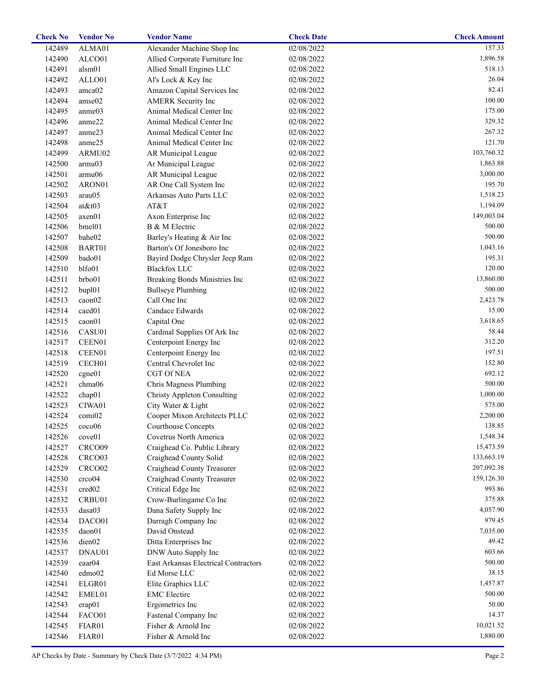| <b>Check No</b> | <b>Vendor No</b>   | <b>Vendor Name</b>                   | <b>Check Date</b> | <b>Check Amount</b> |
|-----------------|--------------------|--------------------------------------|-------------------|---------------------|
| 142489          | ALMA01             | Alexander Machine Shop Inc           | 02/08/2022        | 157.33              |
| 142490          | ALCO01             | Allied Corporate Furniture Inc       | 02/08/2022        | 1,896.58            |
| 142491          | alsm01             | Allied Small Engines LLC             | 02/08/2022        | 518.13              |
| 142492          | ALLO01             | Al's Lock & Key Inc                  | 02/08/2022        | 26.04               |
| 142493          | amca02             | Amazon Capital Services Inc          | 02/08/2022        | 82.41               |
| 142494          | amse02             | <b>AMERK</b> Security Inc            | 02/08/2022        | 100.00              |
| 142495          | anme03             | Animal Medical Center Inc            | 02/08/2022        | 175.00              |
| 142496          | anme22             | Animal Medical Center Inc            | 02/08/2022        | 329.32              |
| 142497          | anme23             | Animal Medical Center Inc            | 02/08/2022        | 267.32              |
| 142498          | anme25             | Animal Medical Center Inc            | 02/08/2022        | 121.70              |
| 142499          | ARMU02             | AR Municipal League                  | 02/08/2022        | 103,760.32          |
| 142500          | armu03             | Ar Municipal League                  | 02/08/2022        | 1,863.88            |
| 142501          | armu06             | AR Municipal League                  | 02/08/2022        | 3,000.00            |
| 142502          | ARON01             | AR One Call System Inc               | 02/08/2022        | 195.70              |
| 142503          | arau05             | Arkansas Auto Parts LLC              | 02/08/2022        | 1,518.23            |
| 142504          | $at \& t03$        | AT&T                                 | 02/08/2022        | 1,194.09            |
| 142505          | axen01             | Axon Enterprise Inc                  | 02/08/2022        | 149,003.04          |
|                 |                    |                                      |                   | 500.00              |
| 142506          | bmel01             | B & M Electric                       | 02/08/2022        |                     |
| 142507          | bahe02             | Barley's Heating & Air Inc           | 02/08/2022        | 500.00              |
| 142508          | BART01             | Barton's Of Jonesboro Inc            | 02/08/2022        | 1,043.16            |
| 142509          | bado01             | Bayird Dodge Chrysler Jeep Ram       | 02/08/2022        | 195.31              |
| 142510          | blfo01             | <b>Blackfox LLC</b>                  | 02/08/2022        | 120.00              |
| 142511          | brbo01             | Breaking Bonds Ministries Inc        | 02/08/2022        | 13,860.00           |
| 142512          | bup101             | <b>Bullseye Plumbing</b>             | 02/08/2022        | 500.00              |
| 142513          | caon02             | Call One Inc                         | 02/08/2022        | 2,423.78            |
| 142514          | caed01             | Candace Edwards                      | 02/08/2022        | 15.00               |
| 142515          | caon01             | Capital One                          | 02/08/2022        | 3,618.65            |
| 142516          | CASU01             | Cardinal Supplies Of Ark Inc         | 02/08/2022        | 58.44               |
| 142517          | CEEN01             | Centerpoint Energy Inc               | 02/08/2022        | 312.20              |
| 142518          | CEEN01             | Centerpoint Energy Inc               | 02/08/2022        | 197.51              |
| 142519          | CECH <sub>01</sub> | Central Chevrolet Inc                | 02/08/2022        | 152.80              |
| 142520          | cgne01             | CGT Of NEA                           | 02/08/2022        | 692.12              |
| 142521          | chma06             | Chris Magness Plumbing               | 02/08/2022        | 500.00              |
| 142522          | chap01             | <b>Christy Appleton Consulting</b>   | 02/08/2022        | 1,000.00            |
| 142523          | CIWA01             | City Water & Light                   | 02/08/2022        | 575.00              |
| 142524          | comi02             | Cooper Mixon Architects PLLC         | 02/08/2022        | 2,200.00            |
| 142525          | $cc\alpha$ 06      | Courthouse Concepts                  | 02/08/2022        | 138.85              |
| 142526          | cove01             | Covetrus North America               | 02/08/2022        | 1,548.34            |
| 142527          | CRCO09             | Craighead Co. Public Library         | 02/08/2022        | 15,473.59           |
| 142528          | CRCO <sub>03</sub> | Craighead County Solid               | 02/08/2022        | 133,663.19          |
| 142529          | CRCO <sub>02</sub> | Craighead County Treasurer           | 02/08/2022        | 207,092.38          |
| 142530          | crco04             | Craighead County Treasurer           | 02/08/2022        | 159,126.30          |
| 142531          | cred <sub>02</sub> | Critical Edge Inc                    | 02/08/2022        | 993.86              |
| 142532          | CRBU01             | Crow-Burlingame Co Inc               | 02/08/2022        | 375.88              |
| 142533          | dasa03             | Dana Safety Supply Inc               | 02/08/2022        | 4,057.90            |
|                 |                    |                                      | 02/08/2022        | 979.45              |
| 142534          | DACO01             | Darragh Company Inc                  |                   | 7,035.00            |
| 142535          | daon01             | David Onstead                        | 02/08/2022        |                     |
| 142536          | dien02             | Ditta Enterprises Inc                | 02/08/2022        | 49.42               |
| 142537          | DNAU01             | DNW Auto Supply Inc                  | 02/08/2022        | 603.66              |
| 142539          | eaar <sub>04</sub> | East Arkansas Electrical Contractors | 02/08/2022        | 500.00              |
| 142540          | edmo02             | Ed Morse LLC                         | 02/08/2022        | 38.15               |
| 142541          | ELGR01             | Elite Graphics LLC                   | 02/08/2022        | 1,457.87            |
| 142542          | EMEL01             | <b>EMC</b> Electirc                  | 02/08/2022        | 500.00              |
| 142543          | erap01             | Ergometrics Inc                      | 02/08/2022        | 50.00               |
| 142544          | FACO01             | Fastenal Company Inc                 | 02/08/2022        | 14.37               |
| 142545          | FIAR01             | Fisher & Arnold Inc                  | 02/08/2022        | 10,021.52           |
| 142546          | FIAR01             | Fisher & Arnold Inc                  | 02/08/2022        | 1,880.00            |
|                 |                    |                                      |                   |                     |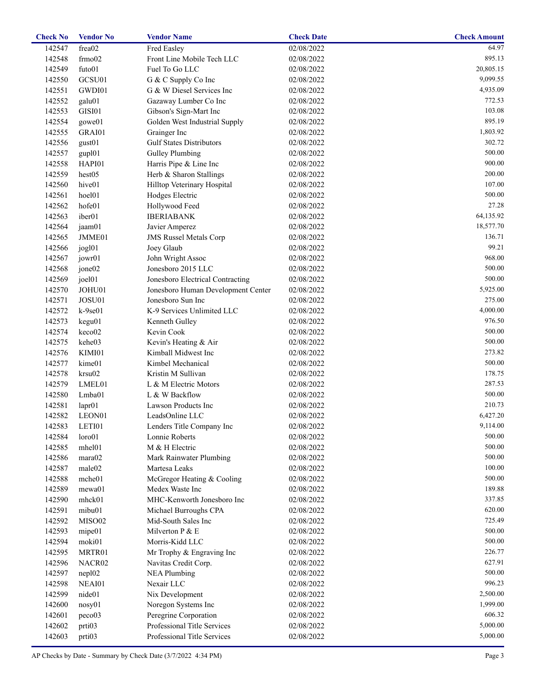| <b>Check No</b> | <b>Vendor No</b>   | <b>Vendor Name</b>                 | <b>Check Date</b> | <b>Check Amount</b> |
|-----------------|--------------------|------------------------------------|-------------------|---------------------|
| 142547          | frea02             | Fred Easley                        | 02/08/2022        | 64.97               |
| 142548          | frm 02             | Front Line Mobile Tech LLC         | 02/08/2022        | 895.13              |
| 142549          | futo01             | Fuel To Go LLC                     | 02/08/2022        | 20,805.15           |
| 142550          | GCSU01             | G & C Supply Co Inc                | 02/08/2022        | 9,099.55            |
| 142551          | GWDI01             | G & W Diesel Services Inc          | 02/08/2022        | 4,935.09            |
| 142552          | galu01             | Gazaway Lumber Co Inc              | 02/08/2022        | 772.53              |
| 142553          | GISI01             | Gibson's Sign-Mart Inc             | 02/08/2022        | 103.08              |
| 142554          | gowe01             | Golden West Industrial Supply      | 02/08/2022        | 895.19              |
| 142555          | GRAI01             | Grainger Inc                       | 02/08/2022        | 1,803.92            |
| 142556          | gust01             | <b>Gulf States Distributors</b>    | 02/08/2022        | 302.72              |
| 142557          | gup101             | <b>Gulley Plumbing</b>             | 02/08/2022        | 500.00              |
| 142558          | HAPI01             | Harris Pipe & Line Inc             | 02/08/2022        | 900.00              |
| 142559          | hest05             | Herb & Sharon Stallings            | 02/08/2022        | 200.00              |
| 142560          | hive01             | Hilltop Veterinary Hospital        | 02/08/2022        | 107.00              |
| 142561          | hoel01             | Hodges Electric                    | 02/08/2022        | 500.00              |
| 142562          | hofe01             | Hollywood Feed                     | 02/08/2022        | 27.28               |
|                 | iber <sub>01</sub> | <b>IBERIABANK</b>                  |                   | 64,135.92           |
| 142563          |                    |                                    | 02/08/2022        |                     |
| 142564          | jaam01             | Javier Amperez                     | 02/08/2022        | 18,577.70           |
| 142565          | JMME01             | <b>JMS Russel Metals Corp</b>      | 02/08/2022        | 136.71              |
| 142566          | jogl01             | Joey Glaub                         | 02/08/2022        | 99.21               |
| 142567          | jowr01             | John Wright Assoc                  | 02/08/2022        | 968.00              |
| 142568          | jone02             | Jonesboro 2015 LLC                 | 02/08/2022        | 500.00              |
| 142569          | joel01             | Jonesboro Electrical Contracting   | 02/08/2022        | 500.00              |
| 142570          | JOHU01             | Jonesboro Human Development Center | 02/08/2022        | 5,925.00            |
| 142571          | JOSU01             | Jonesboro Sun Inc                  | 02/08/2022        | 275.00              |
| 142572          | $k-9se01$          | K-9 Services Unlimited LLC         | 02/08/2022        | 4,000.00            |
| 142573          | kegu01             | Kenneth Gulley                     | 02/08/2022        | 976.50              |
| 142574          | keco02             | Kevin Cook                         | 02/08/2022        | 500.00              |
| 142575          | kehe03             | Kevin's Heating & Air              | 02/08/2022        | 500.00              |
| 142576          | KIMI01             | Kimball Midwest Inc                | 02/08/2022        | 273.82              |
| 142577          | kime01             | Kimbel Mechanical                  | 02/08/2022        | 500.00              |
| 142578          | krsu02             | Kristin M Sullivan                 | 02/08/2022        | 178.75              |
| 142579          | LMEL01             | L & M Electric Motors              | 02/08/2022        | 287.53              |
| 142580          | Lmba01             | L & W Backflow                     | 02/08/2022        | 500.00              |
| 142581          | lapr01             | Lawson Products Inc                | 02/08/2022        | 210.73              |
| 142582          | LEON01             | LeadsOnline LLC                    | 02/08/2022        | 6,427.20            |
| 142583          | LETI01             | Lenders Title Company Inc          | 02/08/2022        | 9,114.00            |
| 142584          | loro01             | Lonnie Roberts                     | 02/08/2022        | 500.00              |
| 142585          | mhel01             | M & H Electric                     | 02/08/2022        | 500.00              |
| 142586          | mara02             | Mark Rainwater Plumbing            | 02/08/2022        | 500.00              |
| 142587          | male02             | Martesa Leaks                      | 02/08/2022        | 100.00              |
| 142588          | mche01             | McGregor Heating & Cooling         | 02/08/2022        | 500.00              |
| 142589          | mewa01             | Medex Waste Inc                    | 02/08/2022        | 189.88              |
|                 | mhck01             | MHC-Kenworth Jonesboro Inc         |                   | 337.85              |
| 142590          |                    |                                    | 02/08/2022        | 620.00              |
| 142591          | mibu01             | Michael Burroughs CPA              | 02/08/2022        |                     |
| 142592          | MISO02             | Mid-South Sales Inc                | 02/08/2022        | 725.49              |
| 142593          | mipe01             | Milverton P & E                    | 02/08/2022        | 500.00              |
| 142594          | moki01             | Morris-Kidd LLC                    | 02/08/2022        | 500.00              |
| 142595          | MRTR01             | Mr Trophy & Engraving Inc          | 02/08/2022        | 226.77              |
| 142596          | NACR02             | Navitas Credit Corp.               | 02/08/2022        | 627.91              |
| 142597          | nep102             | <b>NEA Plumbing</b>                | 02/08/2022        | 500.00              |
| 142598          | NEAI01             | Nexair LLC                         | 02/08/2022        | 996.23              |
| 142599          | nide01             | Nix Development                    | 02/08/2022        | 2,500.00            |
| 142600          | nosy01             | Noregon Systems Inc                | 02/08/2022        | 1,999.00            |
| 142601          | peco03             | Peregrine Corporation              | 02/08/2022        | 606.32              |
| 142602          | prti03             | Professional Title Services        | 02/08/2022        | 5,000.00            |
| 142603          | prti03             | Professional Title Services        | 02/08/2022        | 5,000.00            |
|                 |                    |                                    |                   |                     |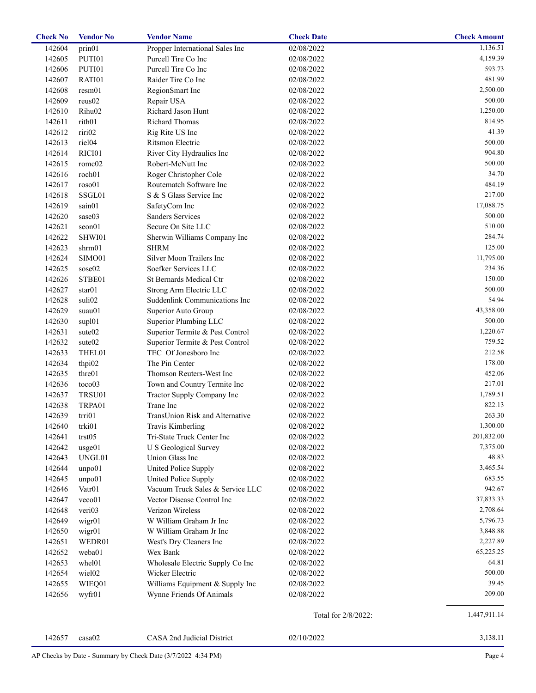| 142604<br>02/08/2022<br>prin01<br>Propper International Sales Inc<br>142605<br>PUTI01<br>Purcell Tire Co Inc<br>02/08/2022<br>Purcell Tire Co Inc<br>142606<br>02/08/2022<br>PUTI01<br>142607<br>RATI01<br>Raider Tire Co Inc<br>02/08/2022<br>142608<br>resm01<br>02/08/2022<br>RegionSmart Inc<br>500.00<br>142609<br>reus02<br>Repair USA<br>02/08/2022<br>1,250.00<br>142610<br>Rihu02<br>Richard Jason Hunt<br>02/08/2022<br>814.95<br>142611<br>rith <sub>01</sub><br><b>Richard Thomas</b><br>02/08/2022<br>riri02<br>41.39<br>142612<br>02/08/2022<br>Rig Rite US Inc<br>500.00<br>142613<br>riel <sub>04</sub><br>Ritsmon Electric<br>02/08/2022<br>904.80<br>142614<br>RICI01<br>River City Hydraulics Inc<br>02/08/2022<br>500.00<br>142615<br>romc02<br>Robert-McNutt Inc<br>02/08/2022<br>34.70<br>142616<br>roch <sub>01</sub><br>Roger Christopher Cole<br>02/08/2022<br>484.19<br>142617<br>roso01<br>Routematch Software Inc<br>02/08/2022<br>SSGL01<br>217.00<br>142618<br>S & S Glass Service Inc<br>02/08/2022<br>17,088.75<br>142619<br>sain01<br>02/08/2022<br>SafetyCom Inc<br>142620<br>sase03<br><b>Sanders Services</b><br>02/08/2022<br>142621<br>seon01<br>Secure On Site LLC<br>02/08/2022<br>142622<br>SHWI01<br>02/08/2022<br>Sherwin Williams Company Inc<br><b>SHRM</b><br>142623<br>shrm01<br>02/08/2022<br>Silver Moon Trailers Inc<br>142624<br>SIMO01<br>02/08/2022<br>Soefker Services LLC<br>142625<br>sose02<br>02/08/2022<br>150.00<br>142626<br>STBE01<br>St Bernards Medical Ctr<br>02/08/2022<br>500.00<br>142627<br>star01<br>Strong Arm Electric LLC<br>02/08/2022<br>54.94<br>142628<br>suli02<br>Suddenlink Communications Inc<br>02/08/2022<br>43,358.00<br>142629<br>suau01<br>02/08/2022<br>Superior Auto Group<br>500.00<br>142630<br>Superior Plumbing LLC<br>sup101<br>02/08/2022<br>1,220.67<br>142631<br>sute <sub>02</sub><br>Superior Termite & Pest Control<br>02/08/2022<br>759.52<br>142632<br>sute <sub>02</sub><br>Superior Termite & Pest Control<br>02/08/2022<br>212.58<br>142633<br>THEL01<br>TEC Of Jonesboro Inc<br>02/08/2022<br>The Pin Center<br>178.00<br>142634<br>thpi02<br>02/08/2022<br>452.06<br>142635<br>thre01<br>Thomson Reuters-West Inc<br>02/08/2022<br>217.01<br>142636<br>toco03<br>Town and Country Termite Inc<br>02/08/2022<br>1,789.51<br>142637<br>TRSU01<br>02/08/2022<br>Tractor Supply Company Inc<br>Trane Inc<br>142638<br>02/08/2022<br>TRPA01<br>142639<br>trri01<br>TransUnion Risk and Alternative<br>02/08/2022<br>02/08/2022<br>142640<br>trki01<br>Travis Kimberling<br>Tri-State Truck Center Inc<br>142641<br>trst05<br>02/08/2022<br>142642<br>U S Geological Survey<br>02/08/2022<br>usge01<br>142643<br>UNGL01<br>Union Glass Inc<br>02/08/2022<br>142644<br>unpo01<br>United Police Supply<br>3,465.54<br>02/08/2022<br>142645<br>United Police Supply<br>02/08/2022<br>683.55<br>unpo01<br>Vacuum Truck Sales & Service LLC<br>942.67<br>142646<br>Vatr <sub>01</sub><br>02/08/2022<br>37,833.33<br>142647<br>veco01<br>Vector Disease Control Inc<br>02/08/2022<br>2,708.64<br>142648<br>veri03<br>Verizon Wireless<br>02/08/2022<br>142649<br>W William Graham Jr Inc<br>5,796.73<br>wigr01<br>02/08/2022<br>142650<br>wigr01<br>W William Graham Jr Inc<br>02/08/2022<br>3,848.88<br>2,227.89<br>142651<br>WEDR01<br>West's Dry Cleaners Inc<br>02/08/2022<br>142652<br>weba01<br>Wex Bank<br>65,225.25<br>02/08/2022<br>142653<br>whel01<br>Wholesale Electric Supply Co Inc<br>02/08/2022<br>142654<br>wiel02<br>Wicker Electric<br>02/08/2022<br>142655<br>Williams Equipment & Supply Inc<br>WIEQ01<br>02/08/2022<br>142656<br>Wynne Friends Of Animals<br>02/08/2022<br>wyfr01<br>Total for 2/8/2022:<br>3,138.11<br>142657<br>CASA 2nd Judicial District<br>02/10/2022<br>casa02 | <b>Check No</b> | <b>Vendor No</b> | <b>Vendor Name</b> | <b>Check Date</b> | <b>Check Amount</b> |
|----------------------------------------------------------------------------------------------------------------------------------------------------------------------------------------------------------------------------------------------------------------------------------------------------------------------------------------------------------------------------------------------------------------------------------------------------------------------------------------------------------------------------------------------------------------------------------------------------------------------------------------------------------------------------------------------------------------------------------------------------------------------------------------------------------------------------------------------------------------------------------------------------------------------------------------------------------------------------------------------------------------------------------------------------------------------------------------------------------------------------------------------------------------------------------------------------------------------------------------------------------------------------------------------------------------------------------------------------------------------------------------------------------------------------------------------------------------------------------------------------------------------------------------------------------------------------------------------------------------------------------------------------------------------------------------------------------------------------------------------------------------------------------------------------------------------------------------------------------------------------------------------------------------------------------------------------------------------------------------------------------------------------------------------------------------------------------------------------------------------------------------------------------------------------------------------------------------------------------------------------------------------------------------------------------------------------------------------------------------------------------------------------------------------------------------------------------------------------------------------------------------------------------------------------------------------------------------------------------------------------------------------------------------------------------------------------------------------------------------------------------------------------------------------------------------------------------------------------------------------------------------------------------------------------------------------------------------------------------------------------------------------------------------------------------------------------------------------------------------------------------------------------------------------------------------------------------------------------------------------------------------------------------------------------------------------------------------------------------------------------------------------------------------------------------------------------------------------------------------------------------------------------------------------------------------------------------------------------------------------------------------------------------------------------------------------------------------------------------------------------------------------------------------------------------|-----------------|------------------|--------------------|-------------------|---------------------|
|                                                                                                                                                                                                                                                                                                                                                                                                                                                                                                                                                                                                                                                                                                                                                                                                                                                                                                                                                                                                                                                                                                                                                                                                                                                                                                                                                                                                                                                                                                                                                                                                                                                                                                                                                                                                                                                                                                                                                                                                                                                                                                                                                                                                                                                                                                                                                                                                                                                                                                                                                                                                                                                                                                                                                                                                                                                                                                                                                                                                                                                                                                                                                                                                                                                                                                                                                                                                                                                                                                                                                                                                                                                                                                                                                                                                          |                 |                  |                    |                   | 1,136.51            |
|                                                                                                                                                                                                                                                                                                                                                                                                                                                                                                                                                                                                                                                                                                                                                                                                                                                                                                                                                                                                                                                                                                                                                                                                                                                                                                                                                                                                                                                                                                                                                                                                                                                                                                                                                                                                                                                                                                                                                                                                                                                                                                                                                                                                                                                                                                                                                                                                                                                                                                                                                                                                                                                                                                                                                                                                                                                                                                                                                                                                                                                                                                                                                                                                                                                                                                                                                                                                                                                                                                                                                                                                                                                                                                                                                                                                          |                 |                  |                    |                   | 4,159.39            |
|                                                                                                                                                                                                                                                                                                                                                                                                                                                                                                                                                                                                                                                                                                                                                                                                                                                                                                                                                                                                                                                                                                                                                                                                                                                                                                                                                                                                                                                                                                                                                                                                                                                                                                                                                                                                                                                                                                                                                                                                                                                                                                                                                                                                                                                                                                                                                                                                                                                                                                                                                                                                                                                                                                                                                                                                                                                                                                                                                                                                                                                                                                                                                                                                                                                                                                                                                                                                                                                                                                                                                                                                                                                                                                                                                                                                          |                 |                  |                    |                   | 593.73              |
|                                                                                                                                                                                                                                                                                                                                                                                                                                                                                                                                                                                                                                                                                                                                                                                                                                                                                                                                                                                                                                                                                                                                                                                                                                                                                                                                                                                                                                                                                                                                                                                                                                                                                                                                                                                                                                                                                                                                                                                                                                                                                                                                                                                                                                                                                                                                                                                                                                                                                                                                                                                                                                                                                                                                                                                                                                                                                                                                                                                                                                                                                                                                                                                                                                                                                                                                                                                                                                                                                                                                                                                                                                                                                                                                                                                                          |                 |                  |                    |                   | 481.99              |
|                                                                                                                                                                                                                                                                                                                                                                                                                                                                                                                                                                                                                                                                                                                                                                                                                                                                                                                                                                                                                                                                                                                                                                                                                                                                                                                                                                                                                                                                                                                                                                                                                                                                                                                                                                                                                                                                                                                                                                                                                                                                                                                                                                                                                                                                                                                                                                                                                                                                                                                                                                                                                                                                                                                                                                                                                                                                                                                                                                                                                                                                                                                                                                                                                                                                                                                                                                                                                                                                                                                                                                                                                                                                                                                                                                                                          |                 |                  |                    |                   | 2,500.00            |
|                                                                                                                                                                                                                                                                                                                                                                                                                                                                                                                                                                                                                                                                                                                                                                                                                                                                                                                                                                                                                                                                                                                                                                                                                                                                                                                                                                                                                                                                                                                                                                                                                                                                                                                                                                                                                                                                                                                                                                                                                                                                                                                                                                                                                                                                                                                                                                                                                                                                                                                                                                                                                                                                                                                                                                                                                                                                                                                                                                                                                                                                                                                                                                                                                                                                                                                                                                                                                                                                                                                                                                                                                                                                                                                                                                                                          |                 |                  |                    |                   |                     |
|                                                                                                                                                                                                                                                                                                                                                                                                                                                                                                                                                                                                                                                                                                                                                                                                                                                                                                                                                                                                                                                                                                                                                                                                                                                                                                                                                                                                                                                                                                                                                                                                                                                                                                                                                                                                                                                                                                                                                                                                                                                                                                                                                                                                                                                                                                                                                                                                                                                                                                                                                                                                                                                                                                                                                                                                                                                                                                                                                                                                                                                                                                                                                                                                                                                                                                                                                                                                                                                                                                                                                                                                                                                                                                                                                                                                          |                 |                  |                    |                   |                     |
|                                                                                                                                                                                                                                                                                                                                                                                                                                                                                                                                                                                                                                                                                                                                                                                                                                                                                                                                                                                                                                                                                                                                                                                                                                                                                                                                                                                                                                                                                                                                                                                                                                                                                                                                                                                                                                                                                                                                                                                                                                                                                                                                                                                                                                                                                                                                                                                                                                                                                                                                                                                                                                                                                                                                                                                                                                                                                                                                                                                                                                                                                                                                                                                                                                                                                                                                                                                                                                                                                                                                                                                                                                                                                                                                                                                                          |                 |                  |                    |                   |                     |
|                                                                                                                                                                                                                                                                                                                                                                                                                                                                                                                                                                                                                                                                                                                                                                                                                                                                                                                                                                                                                                                                                                                                                                                                                                                                                                                                                                                                                                                                                                                                                                                                                                                                                                                                                                                                                                                                                                                                                                                                                                                                                                                                                                                                                                                                                                                                                                                                                                                                                                                                                                                                                                                                                                                                                                                                                                                                                                                                                                                                                                                                                                                                                                                                                                                                                                                                                                                                                                                                                                                                                                                                                                                                                                                                                                                                          |                 |                  |                    |                   |                     |
|                                                                                                                                                                                                                                                                                                                                                                                                                                                                                                                                                                                                                                                                                                                                                                                                                                                                                                                                                                                                                                                                                                                                                                                                                                                                                                                                                                                                                                                                                                                                                                                                                                                                                                                                                                                                                                                                                                                                                                                                                                                                                                                                                                                                                                                                                                                                                                                                                                                                                                                                                                                                                                                                                                                                                                                                                                                                                                                                                                                                                                                                                                                                                                                                                                                                                                                                                                                                                                                                                                                                                                                                                                                                                                                                                                                                          |                 |                  |                    |                   |                     |
|                                                                                                                                                                                                                                                                                                                                                                                                                                                                                                                                                                                                                                                                                                                                                                                                                                                                                                                                                                                                                                                                                                                                                                                                                                                                                                                                                                                                                                                                                                                                                                                                                                                                                                                                                                                                                                                                                                                                                                                                                                                                                                                                                                                                                                                                                                                                                                                                                                                                                                                                                                                                                                                                                                                                                                                                                                                                                                                                                                                                                                                                                                                                                                                                                                                                                                                                                                                                                                                                                                                                                                                                                                                                                                                                                                                                          |                 |                  |                    |                   |                     |
|                                                                                                                                                                                                                                                                                                                                                                                                                                                                                                                                                                                                                                                                                                                                                                                                                                                                                                                                                                                                                                                                                                                                                                                                                                                                                                                                                                                                                                                                                                                                                                                                                                                                                                                                                                                                                                                                                                                                                                                                                                                                                                                                                                                                                                                                                                                                                                                                                                                                                                                                                                                                                                                                                                                                                                                                                                                                                                                                                                                                                                                                                                                                                                                                                                                                                                                                                                                                                                                                                                                                                                                                                                                                                                                                                                                                          |                 |                  |                    |                   |                     |
|                                                                                                                                                                                                                                                                                                                                                                                                                                                                                                                                                                                                                                                                                                                                                                                                                                                                                                                                                                                                                                                                                                                                                                                                                                                                                                                                                                                                                                                                                                                                                                                                                                                                                                                                                                                                                                                                                                                                                                                                                                                                                                                                                                                                                                                                                                                                                                                                                                                                                                                                                                                                                                                                                                                                                                                                                                                                                                                                                                                                                                                                                                                                                                                                                                                                                                                                                                                                                                                                                                                                                                                                                                                                                                                                                                                                          |                 |                  |                    |                   |                     |
|                                                                                                                                                                                                                                                                                                                                                                                                                                                                                                                                                                                                                                                                                                                                                                                                                                                                                                                                                                                                                                                                                                                                                                                                                                                                                                                                                                                                                                                                                                                                                                                                                                                                                                                                                                                                                                                                                                                                                                                                                                                                                                                                                                                                                                                                                                                                                                                                                                                                                                                                                                                                                                                                                                                                                                                                                                                                                                                                                                                                                                                                                                                                                                                                                                                                                                                                                                                                                                                                                                                                                                                                                                                                                                                                                                                                          |                 |                  |                    |                   |                     |
|                                                                                                                                                                                                                                                                                                                                                                                                                                                                                                                                                                                                                                                                                                                                                                                                                                                                                                                                                                                                                                                                                                                                                                                                                                                                                                                                                                                                                                                                                                                                                                                                                                                                                                                                                                                                                                                                                                                                                                                                                                                                                                                                                                                                                                                                                                                                                                                                                                                                                                                                                                                                                                                                                                                                                                                                                                                                                                                                                                                                                                                                                                                                                                                                                                                                                                                                                                                                                                                                                                                                                                                                                                                                                                                                                                                                          |                 |                  |                    |                   |                     |
|                                                                                                                                                                                                                                                                                                                                                                                                                                                                                                                                                                                                                                                                                                                                                                                                                                                                                                                                                                                                                                                                                                                                                                                                                                                                                                                                                                                                                                                                                                                                                                                                                                                                                                                                                                                                                                                                                                                                                                                                                                                                                                                                                                                                                                                                                                                                                                                                                                                                                                                                                                                                                                                                                                                                                                                                                                                                                                                                                                                                                                                                                                                                                                                                                                                                                                                                                                                                                                                                                                                                                                                                                                                                                                                                                                                                          |                 |                  |                    |                   |                     |
|                                                                                                                                                                                                                                                                                                                                                                                                                                                                                                                                                                                                                                                                                                                                                                                                                                                                                                                                                                                                                                                                                                                                                                                                                                                                                                                                                                                                                                                                                                                                                                                                                                                                                                                                                                                                                                                                                                                                                                                                                                                                                                                                                                                                                                                                                                                                                                                                                                                                                                                                                                                                                                                                                                                                                                                                                                                                                                                                                                                                                                                                                                                                                                                                                                                                                                                                                                                                                                                                                                                                                                                                                                                                                                                                                                                                          |                 |                  |                    |                   |                     |
|                                                                                                                                                                                                                                                                                                                                                                                                                                                                                                                                                                                                                                                                                                                                                                                                                                                                                                                                                                                                                                                                                                                                                                                                                                                                                                                                                                                                                                                                                                                                                                                                                                                                                                                                                                                                                                                                                                                                                                                                                                                                                                                                                                                                                                                                                                                                                                                                                                                                                                                                                                                                                                                                                                                                                                                                                                                                                                                                                                                                                                                                                                                                                                                                                                                                                                                                                                                                                                                                                                                                                                                                                                                                                                                                                                                                          |                 |                  |                    |                   | 500.00              |
|                                                                                                                                                                                                                                                                                                                                                                                                                                                                                                                                                                                                                                                                                                                                                                                                                                                                                                                                                                                                                                                                                                                                                                                                                                                                                                                                                                                                                                                                                                                                                                                                                                                                                                                                                                                                                                                                                                                                                                                                                                                                                                                                                                                                                                                                                                                                                                                                                                                                                                                                                                                                                                                                                                                                                                                                                                                                                                                                                                                                                                                                                                                                                                                                                                                                                                                                                                                                                                                                                                                                                                                                                                                                                                                                                                                                          |                 |                  |                    |                   | 510.00              |
|                                                                                                                                                                                                                                                                                                                                                                                                                                                                                                                                                                                                                                                                                                                                                                                                                                                                                                                                                                                                                                                                                                                                                                                                                                                                                                                                                                                                                                                                                                                                                                                                                                                                                                                                                                                                                                                                                                                                                                                                                                                                                                                                                                                                                                                                                                                                                                                                                                                                                                                                                                                                                                                                                                                                                                                                                                                                                                                                                                                                                                                                                                                                                                                                                                                                                                                                                                                                                                                                                                                                                                                                                                                                                                                                                                                                          |                 |                  |                    |                   | 284.74              |
|                                                                                                                                                                                                                                                                                                                                                                                                                                                                                                                                                                                                                                                                                                                                                                                                                                                                                                                                                                                                                                                                                                                                                                                                                                                                                                                                                                                                                                                                                                                                                                                                                                                                                                                                                                                                                                                                                                                                                                                                                                                                                                                                                                                                                                                                                                                                                                                                                                                                                                                                                                                                                                                                                                                                                                                                                                                                                                                                                                                                                                                                                                                                                                                                                                                                                                                                                                                                                                                                                                                                                                                                                                                                                                                                                                                                          |                 |                  |                    |                   | 125.00              |
|                                                                                                                                                                                                                                                                                                                                                                                                                                                                                                                                                                                                                                                                                                                                                                                                                                                                                                                                                                                                                                                                                                                                                                                                                                                                                                                                                                                                                                                                                                                                                                                                                                                                                                                                                                                                                                                                                                                                                                                                                                                                                                                                                                                                                                                                                                                                                                                                                                                                                                                                                                                                                                                                                                                                                                                                                                                                                                                                                                                                                                                                                                                                                                                                                                                                                                                                                                                                                                                                                                                                                                                                                                                                                                                                                                                                          |                 |                  |                    |                   | 11,795.00           |
|                                                                                                                                                                                                                                                                                                                                                                                                                                                                                                                                                                                                                                                                                                                                                                                                                                                                                                                                                                                                                                                                                                                                                                                                                                                                                                                                                                                                                                                                                                                                                                                                                                                                                                                                                                                                                                                                                                                                                                                                                                                                                                                                                                                                                                                                                                                                                                                                                                                                                                                                                                                                                                                                                                                                                                                                                                                                                                                                                                                                                                                                                                                                                                                                                                                                                                                                                                                                                                                                                                                                                                                                                                                                                                                                                                                                          |                 |                  |                    |                   | 234.36              |
|                                                                                                                                                                                                                                                                                                                                                                                                                                                                                                                                                                                                                                                                                                                                                                                                                                                                                                                                                                                                                                                                                                                                                                                                                                                                                                                                                                                                                                                                                                                                                                                                                                                                                                                                                                                                                                                                                                                                                                                                                                                                                                                                                                                                                                                                                                                                                                                                                                                                                                                                                                                                                                                                                                                                                                                                                                                                                                                                                                                                                                                                                                                                                                                                                                                                                                                                                                                                                                                                                                                                                                                                                                                                                                                                                                                                          |                 |                  |                    |                   |                     |
|                                                                                                                                                                                                                                                                                                                                                                                                                                                                                                                                                                                                                                                                                                                                                                                                                                                                                                                                                                                                                                                                                                                                                                                                                                                                                                                                                                                                                                                                                                                                                                                                                                                                                                                                                                                                                                                                                                                                                                                                                                                                                                                                                                                                                                                                                                                                                                                                                                                                                                                                                                                                                                                                                                                                                                                                                                                                                                                                                                                                                                                                                                                                                                                                                                                                                                                                                                                                                                                                                                                                                                                                                                                                                                                                                                                                          |                 |                  |                    |                   |                     |
|                                                                                                                                                                                                                                                                                                                                                                                                                                                                                                                                                                                                                                                                                                                                                                                                                                                                                                                                                                                                                                                                                                                                                                                                                                                                                                                                                                                                                                                                                                                                                                                                                                                                                                                                                                                                                                                                                                                                                                                                                                                                                                                                                                                                                                                                                                                                                                                                                                                                                                                                                                                                                                                                                                                                                                                                                                                                                                                                                                                                                                                                                                                                                                                                                                                                                                                                                                                                                                                                                                                                                                                                                                                                                                                                                                                                          |                 |                  |                    |                   |                     |
|                                                                                                                                                                                                                                                                                                                                                                                                                                                                                                                                                                                                                                                                                                                                                                                                                                                                                                                                                                                                                                                                                                                                                                                                                                                                                                                                                                                                                                                                                                                                                                                                                                                                                                                                                                                                                                                                                                                                                                                                                                                                                                                                                                                                                                                                                                                                                                                                                                                                                                                                                                                                                                                                                                                                                                                                                                                                                                                                                                                                                                                                                                                                                                                                                                                                                                                                                                                                                                                                                                                                                                                                                                                                                                                                                                                                          |                 |                  |                    |                   |                     |
|                                                                                                                                                                                                                                                                                                                                                                                                                                                                                                                                                                                                                                                                                                                                                                                                                                                                                                                                                                                                                                                                                                                                                                                                                                                                                                                                                                                                                                                                                                                                                                                                                                                                                                                                                                                                                                                                                                                                                                                                                                                                                                                                                                                                                                                                                                                                                                                                                                                                                                                                                                                                                                                                                                                                                                                                                                                                                                                                                                                                                                                                                                                                                                                                                                                                                                                                                                                                                                                                                                                                                                                                                                                                                                                                                                                                          |                 |                  |                    |                   |                     |
|                                                                                                                                                                                                                                                                                                                                                                                                                                                                                                                                                                                                                                                                                                                                                                                                                                                                                                                                                                                                                                                                                                                                                                                                                                                                                                                                                                                                                                                                                                                                                                                                                                                                                                                                                                                                                                                                                                                                                                                                                                                                                                                                                                                                                                                                                                                                                                                                                                                                                                                                                                                                                                                                                                                                                                                                                                                                                                                                                                                                                                                                                                                                                                                                                                                                                                                                                                                                                                                                                                                                                                                                                                                                                                                                                                                                          |                 |                  |                    |                   |                     |
|                                                                                                                                                                                                                                                                                                                                                                                                                                                                                                                                                                                                                                                                                                                                                                                                                                                                                                                                                                                                                                                                                                                                                                                                                                                                                                                                                                                                                                                                                                                                                                                                                                                                                                                                                                                                                                                                                                                                                                                                                                                                                                                                                                                                                                                                                                                                                                                                                                                                                                                                                                                                                                                                                                                                                                                                                                                                                                                                                                                                                                                                                                                                                                                                                                                                                                                                                                                                                                                                                                                                                                                                                                                                                                                                                                                                          |                 |                  |                    |                   |                     |
|                                                                                                                                                                                                                                                                                                                                                                                                                                                                                                                                                                                                                                                                                                                                                                                                                                                                                                                                                                                                                                                                                                                                                                                                                                                                                                                                                                                                                                                                                                                                                                                                                                                                                                                                                                                                                                                                                                                                                                                                                                                                                                                                                                                                                                                                                                                                                                                                                                                                                                                                                                                                                                                                                                                                                                                                                                                                                                                                                                                                                                                                                                                                                                                                                                                                                                                                                                                                                                                                                                                                                                                                                                                                                                                                                                                                          |                 |                  |                    |                   |                     |
|                                                                                                                                                                                                                                                                                                                                                                                                                                                                                                                                                                                                                                                                                                                                                                                                                                                                                                                                                                                                                                                                                                                                                                                                                                                                                                                                                                                                                                                                                                                                                                                                                                                                                                                                                                                                                                                                                                                                                                                                                                                                                                                                                                                                                                                                                                                                                                                                                                                                                                                                                                                                                                                                                                                                                                                                                                                                                                                                                                                                                                                                                                                                                                                                                                                                                                                                                                                                                                                                                                                                                                                                                                                                                                                                                                                                          |                 |                  |                    |                   |                     |
|                                                                                                                                                                                                                                                                                                                                                                                                                                                                                                                                                                                                                                                                                                                                                                                                                                                                                                                                                                                                                                                                                                                                                                                                                                                                                                                                                                                                                                                                                                                                                                                                                                                                                                                                                                                                                                                                                                                                                                                                                                                                                                                                                                                                                                                                                                                                                                                                                                                                                                                                                                                                                                                                                                                                                                                                                                                                                                                                                                                                                                                                                                                                                                                                                                                                                                                                                                                                                                                                                                                                                                                                                                                                                                                                                                                                          |                 |                  |                    |                   |                     |
|                                                                                                                                                                                                                                                                                                                                                                                                                                                                                                                                                                                                                                                                                                                                                                                                                                                                                                                                                                                                                                                                                                                                                                                                                                                                                                                                                                                                                                                                                                                                                                                                                                                                                                                                                                                                                                                                                                                                                                                                                                                                                                                                                                                                                                                                                                                                                                                                                                                                                                                                                                                                                                                                                                                                                                                                                                                                                                                                                                                                                                                                                                                                                                                                                                                                                                                                                                                                                                                                                                                                                                                                                                                                                                                                                                                                          |                 |                  |                    |                   |                     |
|                                                                                                                                                                                                                                                                                                                                                                                                                                                                                                                                                                                                                                                                                                                                                                                                                                                                                                                                                                                                                                                                                                                                                                                                                                                                                                                                                                                                                                                                                                                                                                                                                                                                                                                                                                                                                                                                                                                                                                                                                                                                                                                                                                                                                                                                                                                                                                                                                                                                                                                                                                                                                                                                                                                                                                                                                                                                                                                                                                                                                                                                                                                                                                                                                                                                                                                                                                                                                                                                                                                                                                                                                                                                                                                                                                                                          |                 |                  |                    |                   |                     |
|                                                                                                                                                                                                                                                                                                                                                                                                                                                                                                                                                                                                                                                                                                                                                                                                                                                                                                                                                                                                                                                                                                                                                                                                                                                                                                                                                                                                                                                                                                                                                                                                                                                                                                                                                                                                                                                                                                                                                                                                                                                                                                                                                                                                                                                                                                                                                                                                                                                                                                                                                                                                                                                                                                                                                                                                                                                                                                                                                                                                                                                                                                                                                                                                                                                                                                                                                                                                                                                                                                                                                                                                                                                                                                                                                                                                          |                 |                  |                    |                   |                     |
|                                                                                                                                                                                                                                                                                                                                                                                                                                                                                                                                                                                                                                                                                                                                                                                                                                                                                                                                                                                                                                                                                                                                                                                                                                                                                                                                                                                                                                                                                                                                                                                                                                                                                                                                                                                                                                                                                                                                                                                                                                                                                                                                                                                                                                                                                                                                                                                                                                                                                                                                                                                                                                                                                                                                                                                                                                                                                                                                                                                                                                                                                                                                                                                                                                                                                                                                                                                                                                                                                                                                                                                                                                                                                                                                                                                                          |                 |                  |                    |                   | 822.13              |
|                                                                                                                                                                                                                                                                                                                                                                                                                                                                                                                                                                                                                                                                                                                                                                                                                                                                                                                                                                                                                                                                                                                                                                                                                                                                                                                                                                                                                                                                                                                                                                                                                                                                                                                                                                                                                                                                                                                                                                                                                                                                                                                                                                                                                                                                                                                                                                                                                                                                                                                                                                                                                                                                                                                                                                                                                                                                                                                                                                                                                                                                                                                                                                                                                                                                                                                                                                                                                                                                                                                                                                                                                                                                                                                                                                                                          |                 |                  |                    |                   | 263.30              |
|                                                                                                                                                                                                                                                                                                                                                                                                                                                                                                                                                                                                                                                                                                                                                                                                                                                                                                                                                                                                                                                                                                                                                                                                                                                                                                                                                                                                                                                                                                                                                                                                                                                                                                                                                                                                                                                                                                                                                                                                                                                                                                                                                                                                                                                                                                                                                                                                                                                                                                                                                                                                                                                                                                                                                                                                                                                                                                                                                                                                                                                                                                                                                                                                                                                                                                                                                                                                                                                                                                                                                                                                                                                                                                                                                                                                          |                 |                  |                    |                   | 1,300.00            |
|                                                                                                                                                                                                                                                                                                                                                                                                                                                                                                                                                                                                                                                                                                                                                                                                                                                                                                                                                                                                                                                                                                                                                                                                                                                                                                                                                                                                                                                                                                                                                                                                                                                                                                                                                                                                                                                                                                                                                                                                                                                                                                                                                                                                                                                                                                                                                                                                                                                                                                                                                                                                                                                                                                                                                                                                                                                                                                                                                                                                                                                                                                                                                                                                                                                                                                                                                                                                                                                                                                                                                                                                                                                                                                                                                                                                          |                 |                  |                    |                   | 201,832.00          |
|                                                                                                                                                                                                                                                                                                                                                                                                                                                                                                                                                                                                                                                                                                                                                                                                                                                                                                                                                                                                                                                                                                                                                                                                                                                                                                                                                                                                                                                                                                                                                                                                                                                                                                                                                                                                                                                                                                                                                                                                                                                                                                                                                                                                                                                                                                                                                                                                                                                                                                                                                                                                                                                                                                                                                                                                                                                                                                                                                                                                                                                                                                                                                                                                                                                                                                                                                                                                                                                                                                                                                                                                                                                                                                                                                                                                          |                 |                  |                    |                   | 7,375.00            |
|                                                                                                                                                                                                                                                                                                                                                                                                                                                                                                                                                                                                                                                                                                                                                                                                                                                                                                                                                                                                                                                                                                                                                                                                                                                                                                                                                                                                                                                                                                                                                                                                                                                                                                                                                                                                                                                                                                                                                                                                                                                                                                                                                                                                                                                                                                                                                                                                                                                                                                                                                                                                                                                                                                                                                                                                                                                                                                                                                                                                                                                                                                                                                                                                                                                                                                                                                                                                                                                                                                                                                                                                                                                                                                                                                                                                          |                 |                  |                    |                   | 48.83               |
|                                                                                                                                                                                                                                                                                                                                                                                                                                                                                                                                                                                                                                                                                                                                                                                                                                                                                                                                                                                                                                                                                                                                                                                                                                                                                                                                                                                                                                                                                                                                                                                                                                                                                                                                                                                                                                                                                                                                                                                                                                                                                                                                                                                                                                                                                                                                                                                                                                                                                                                                                                                                                                                                                                                                                                                                                                                                                                                                                                                                                                                                                                                                                                                                                                                                                                                                                                                                                                                                                                                                                                                                                                                                                                                                                                                                          |                 |                  |                    |                   |                     |
|                                                                                                                                                                                                                                                                                                                                                                                                                                                                                                                                                                                                                                                                                                                                                                                                                                                                                                                                                                                                                                                                                                                                                                                                                                                                                                                                                                                                                                                                                                                                                                                                                                                                                                                                                                                                                                                                                                                                                                                                                                                                                                                                                                                                                                                                                                                                                                                                                                                                                                                                                                                                                                                                                                                                                                                                                                                                                                                                                                                                                                                                                                                                                                                                                                                                                                                                                                                                                                                                                                                                                                                                                                                                                                                                                                                                          |                 |                  |                    |                   |                     |
|                                                                                                                                                                                                                                                                                                                                                                                                                                                                                                                                                                                                                                                                                                                                                                                                                                                                                                                                                                                                                                                                                                                                                                                                                                                                                                                                                                                                                                                                                                                                                                                                                                                                                                                                                                                                                                                                                                                                                                                                                                                                                                                                                                                                                                                                                                                                                                                                                                                                                                                                                                                                                                                                                                                                                                                                                                                                                                                                                                                                                                                                                                                                                                                                                                                                                                                                                                                                                                                                                                                                                                                                                                                                                                                                                                                                          |                 |                  |                    |                   |                     |
|                                                                                                                                                                                                                                                                                                                                                                                                                                                                                                                                                                                                                                                                                                                                                                                                                                                                                                                                                                                                                                                                                                                                                                                                                                                                                                                                                                                                                                                                                                                                                                                                                                                                                                                                                                                                                                                                                                                                                                                                                                                                                                                                                                                                                                                                                                                                                                                                                                                                                                                                                                                                                                                                                                                                                                                                                                                                                                                                                                                                                                                                                                                                                                                                                                                                                                                                                                                                                                                                                                                                                                                                                                                                                                                                                                                                          |                 |                  |                    |                   |                     |
|                                                                                                                                                                                                                                                                                                                                                                                                                                                                                                                                                                                                                                                                                                                                                                                                                                                                                                                                                                                                                                                                                                                                                                                                                                                                                                                                                                                                                                                                                                                                                                                                                                                                                                                                                                                                                                                                                                                                                                                                                                                                                                                                                                                                                                                                                                                                                                                                                                                                                                                                                                                                                                                                                                                                                                                                                                                                                                                                                                                                                                                                                                                                                                                                                                                                                                                                                                                                                                                                                                                                                                                                                                                                                                                                                                                                          |                 |                  |                    |                   |                     |
|                                                                                                                                                                                                                                                                                                                                                                                                                                                                                                                                                                                                                                                                                                                                                                                                                                                                                                                                                                                                                                                                                                                                                                                                                                                                                                                                                                                                                                                                                                                                                                                                                                                                                                                                                                                                                                                                                                                                                                                                                                                                                                                                                                                                                                                                                                                                                                                                                                                                                                                                                                                                                                                                                                                                                                                                                                                                                                                                                                                                                                                                                                                                                                                                                                                                                                                                                                                                                                                                                                                                                                                                                                                                                                                                                                                                          |                 |                  |                    |                   |                     |
|                                                                                                                                                                                                                                                                                                                                                                                                                                                                                                                                                                                                                                                                                                                                                                                                                                                                                                                                                                                                                                                                                                                                                                                                                                                                                                                                                                                                                                                                                                                                                                                                                                                                                                                                                                                                                                                                                                                                                                                                                                                                                                                                                                                                                                                                                                                                                                                                                                                                                                                                                                                                                                                                                                                                                                                                                                                                                                                                                                                                                                                                                                                                                                                                                                                                                                                                                                                                                                                                                                                                                                                                                                                                                                                                                                                                          |                 |                  |                    |                   |                     |
|                                                                                                                                                                                                                                                                                                                                                                                                                                                                                                                                                                                                                                                                                                                                                                                                                                                                                                                                                                                                                                                                                                                                                                                                                                                                                                                                                                                                                                                                                                                                                                                                                                                                                                                                                                                                                                                                                                                                                                                                                                                                                                                                                                                                                                                                                                                                                                                                                                                                                                                                                                                                                                                                                                                                                                                                                                                                                                                                                                                                                                                                                                                                                                                                                                                                                                                                                                                                                                                                                                                                                                                                                                                                                                                                                                                                          |                 |                  |                    |                   |                     |
|                                                                                                                                                                                                                                                                                                                                                                                                                                                                                                                                                                                                                                                                                                                                                                                                                                                                                                                                                                                                                                                                                                                                                                                                                                                                                                                                                                                                                                                                                                                                                                                                                                                                                                                                                                                                                                                                                                                                                                                                                                                                                                                                                                                                                                                                                                                                                                                                                                                                                                                                                                                                                                                                                                                                                                                                                                                                                                                                                                                                                                                                                                                                                                                                                                                                                                                                                                                                                                                                                                                                                                                                                                                                                                                                                                                                          |                 |                  |                    |                   |                     |
|                                                                                                                                                                                                                                                                                                                                                                                                                                                                                                                                                                                                                                                                                                                                                                                                                                                                                                                                                                                                                                                                                                                                                                                                                                                                                                                                                                                                                                                                                                                                                                                                                                                                                                                                                                                                                                                                                                                                                                                                                                                                                                                                                                                                                                                                                                                                                                                                                                                                                                                                                                                                                                                                                                                                                                                                                                                                                                                                                                                                                                                                                                                                                                                                                                                                                                                                                                                                                                                                                                                                                                                                                                                                                                                                                                                                          |                 |                  |                    |                   |                     |
|                                                                                                                                                                                                                                                                                                                                                                                                                                                                                                                                                                                                                                                                                                                                                                                                                                                                                                                                                                                                                                                                                                                                                                                                                                                                                                                                                                                                                                                                                                                                                                                                                                                                                                                                                                                                                                                                                                                                                                                                                                                                                                                                                                                                                                                                                                                                                                                                                                                                                                                                                                                                                                                                                                                                                                                                                                                                                                                                                                                                                                                                                                                                                                                                                                                                                                                                                                                                                                                                                                                                                                                                                                                                                                                                                                                                          |                 |                  |                    |                   | 64.81               |
|                                                                                                                                                                                                                                                                                                                                                                                                                                                                                                                                                                                                                                                                                                                                                                                                                                                                                                                                                                                                                                                                                                                                                                                                                                                                                                                                                                                                                                                                                                                                                                                                                                                                                                                                                                                                                                                                                                                                                                                                                                                                                                                                                                                                                                                                                                                                                                                                                                                                                                                                                                                                                                                                                                                                                                                                                                                                                                                                                                                                                                                                                                                                                                                                                                                                                                                                                                                                                                                                                                                                                                                                                                                                                                                                                                                                          |                 |                  |                    |                   | 500.00              |
|                                                                                                                                                                                                                                                                                                                                                                                                                                                                                                                                                                                                                                                                                                                                                                                                                                                                                                                                                                                                                                                                                                                                                                                                                                                                                                                                                                                                                                                                                                                                                                                                                                                                                                                                                                                                                                                                                                                                                                                                                                                                                                                                                                                                                                                                                                                                                                                                                                                                                                                                                                                                                                                                                                                                                                                                                                                                                                                                                                                                                                                                                                                                                                                                                                                                                                                                                                                                                                                                                                                                                                                                                                                                                                                                                                                                          |                 |                  |                    |                   | 39.45               |
|                                                                                                                                                                                                                                                                                                                                                                                                                                                                                                                                                                                                                                                                                                                                                                                                                                                                                                                                                                                                                                                                                                                                                                                                                                                                                                                                                                                                                                                                                                                                                                                                                                                                                                                                                                                                                                                                                                                                                                                                                                                                                                                                                                                                                                                                                                                                                                                                                                                                                                                                                                                                                                                                                                                                                                                                                                                                                                                                                                                                                                                                                                                                                                                                                                                                                                                                                                                                                                                                                                                                                                                                                                                                                                                                                                                                          |                 |                  |                    |                   | 209.00              |
|                                                                                                                                                                                                                                                                                                                                                                                                                                                                                                                                                                                                                                                                                                                                                                                                                                                                                                                                                                                                                                                                                                                                                                                                                                                                                                                                                                                                                                                                                                                                                                                                                                                                                                                                                                                                                                                                                                                                                                                                                                                                                                                                                                                                                                                                                                                                                                                                                                                                                                                                                                                                                                                                                                                                                                                                                                                                                                                                                                                                                                                                                                                                                                                                                                                                                                                                                                                                                                                                                                                                                                                                                                                                                                                                                                                                          |                 |                  |                    |                   | 1,447,911.14        |
|                                                                                                                                                                                                                                                                                                                                                                                                                                                                                                                                                                                                                                                                                                                                                                                                                                                                                                                                                                                                                                                                                                                                                                                                                                                                                                                                                                                                                                                                                                                                                                                                                                                                                                                                                                                                                                                                                                                                                                                                                                                                                                                                                                                                                                                                                                                                                                                                                                                                                                                                                                                                                                                                                                                                                                                                                                                                                                                                                                                                                                                                                                                                                                                                                                                                                                                                                                                                                                                                                                                                                                                                                                                                                                                                                                                                          |                 |                  |                    |                   |                     |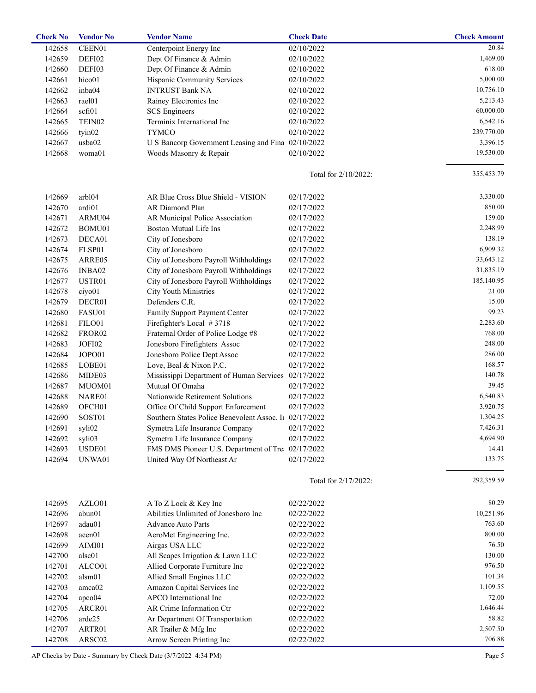| <b>Check No</b> | <b>Vendor No</b>   | <b>Vendor Name</b>                                     | <b>Check Date</b>    | <b>Check Amount</b> |
|-----------------|--------------------|--------------------------------------------------------|----------------------|---------------------|
| 142658          | CEEN01             | Centerpoint Energy Inc                                 | 02/10/2022           | 20.84               |
| 142659          | DEFI02             | Dept Of Finance & Admin                                | 02/10/2022           | 1,469.00            |
| 142660          | DEFI03             | Dept Of Finance & Admin                                | 02/10/2022           | 618.00              |
| 142661          | hico01             | Hispanic Community Services                            | 02/10/2022           | 5,000.00            |
| 142662          | inba04             | <b>INTRUST Bank NA</b>                                 | 02/10/2022           | 10,756.10           |
| 142663          | rael01             | Rainey Electronics Inc                                 | 02/10/2022           | 5,213.43            |
| 142664          | scfi01             | <b>SCS</b> Engineers                                   | 02/10/2022           | 60,000.00           |
| 142665          | TEIN02             | Terminix International Inc                             | 02/10/2022           | 6,542.16            |
| 142666          | tyin02             | <b>TYMCO</b>                                           | 02/10/2022           | 239,770.00          |
| 142667          | usba02             | U S Bancorp Government Leasing and Fina                | 02/10/2022           | 3,396.15            |
| 142668          | woma01             | Woods Masonry & Repair                                 | 02/10/2022           | 19,530.00           |
|                 |                    |                                                        |                      |                     |
|                 |                    |                                                        | Total for 2/10/2022: | 355,453.79          |
| 142669          | arbl04             | AR Blue Cross Blue Shield - VISION                     | 02/17/2022           | 3,330.00            |
| 142670          | ardi01             | AR Diamond Plan                                        | 02/17/2022           | 850.00              |
| 142671          | ARMU04             | AR Municipal Police Association                        | 02/17/2022           | 159.00              |
| 142672          | BOMU01             | <b>Boston Mutual Life Ins</b>                          | 02/17/2022           | 2,248.99            |
| 142673          | DECA01             | City of Jonesboro                                      | 02/17/2022           | 138.19              |
| 142674          | FLSP01             | City of Jonesboro                                      | 02/17/2022           | 6,909.32            |
| 142675          | ARRE05             | City of Jonesboro Payroll Withholdings                 | 02/17/2022           | 33,643.12           |
| 142676          | INBA02             | City of Jonesboro Payroll Withholdings                 | 02/17/2022           | 31,835.19           |
| 142677          | USTR01             | City of Jonesboro Payroll Withholdings                 | 02/17/2022           | 185,140.95          |
| 142678          | ciyo01             | City Youth Ministries                                  | 02/17/2022           | 21.00               |
| 142679          | DECR01             | Defenders C.R.                                         | 02/17/2022           | 15.00               |
| 142680          | FASU01             |                                                        | 02/17/2022           | 99.23               |
|                 |                    | Family Support Payment Center                          |                      | 2,283.60            |
| 142681          | FILO01             | Firefighter's Local #3718                              | 02/17/2022           | 768.00              |
| 142682          | FROR <sub>02</sub> | Fraternal Order of Police Lodge #8                     | 02/17/2022           |                     |
| 142683          | JOFI02             | Jonesboro Firefighters Assoc                           | 02/17/2022           | 248.00              |
| 142684          | JOPO01             | Jonesboro Police Dept Assoc                            | 02/17/2022           | 286.00              |
| 142685          | LOBE01             | Love, Beal & Nixon P.C.                                | 02/17/2022           | 168.57              |
| 142686          | MIDE03             | Mississippi Department of Human Services               | 02/17/2022           | 140.78              |
| 142687          | MUOM01             | Mutual Of Omaha                                        | 02/17/2022           | 39.45               |
| 142688          | NARE01             | Nationwide Retirement Solutions                        | 02/17/2022           | 6,540.83            |
| 142689          | OFCH <sub>01</sub> | Office Of Child Support Enforcement                    | 02/17/2022           | 3,920.75            |
| 142690          | SOST01             | Southern States Police Benevolent Assoc. In 02/17/2022 |                      | 1,304.25            |
| 142691          | syli02             | Symetra Life Insurance Company                         | 02/17/2022           | 7,426.31            |
| 142692          | syli03             | Symetra Life Insurance Company                         | 02/17/2022           | 4,694.90            |
| 142693          | USDE01             | FMS DMS Pioneer U.S. Department of Tre                 | 02/17/2022           | 14.41               |
| 142694          | UNWA01             | United Way Of Northeast Ar                             | 02/17/2022           | 133.75              |
|                 |                    |                                                        | Total for 2/17/2022: | 292,359.59          |
| 142695          | AZLO01             | A To Z Lock & Key Inc                                  | 02/22/2022           | 80.29               |
| 142696          | abun01             | Abilities Unlimited of Jonesboro Inc                   | 02/22/2022           | 10,251.96           |
| 142697          | adau01             | <b>Advance Auto Parts</b>                              | 02/22/2022           | 763.60              |
| 142698          | aeen01             | AeroMet Engineering Inc.                               | 02/22/2022           | 800.00              |
| 142699          | AIMI01             | Airgas USA LLC                                         | 02/22/2022           | 76.50               |
| 142700          | alsc01             | All Scapes Irrigation & Lawn LLC                       | 02/22/2022           | 130.00              |
| 142701          | ALCO01             | Allied Corporate Furniture Inc                         | 02/22/2022           | 976.50              |
| 142702          | alsm01             | Allied Small Engines LLC                               | 02/22/2022           | 101.34              |
| 142703          | amca02             | Amazon Capital Services Inc                            | 02/22/2022           | 1,109.55            |
| 142704          | apco04             | APCO International Inc                                 | 02/22/2022           | 72.00               |
| 142705          | ARCR01             | AR Crime Information Ctr                               | 02/22/2022           | 1,646.44            |
|                 |                    |                                                        |                      | 58.82               |
| 142706          | arde25             | Ar Department Of Transportation                        | 02/22/2022           |                     |
| 142707          | ARTR01             | AR Trailer & Mfg Inc                                   | 02/22/2022           | 2,507.50            |
| 142708          | ARSC02             | Arrow Screen Printing Inc                              | 02/22/2022           | 706.88              |

AP Checks by Date - Summary by Check Date (3/7/2022 4:34 PM)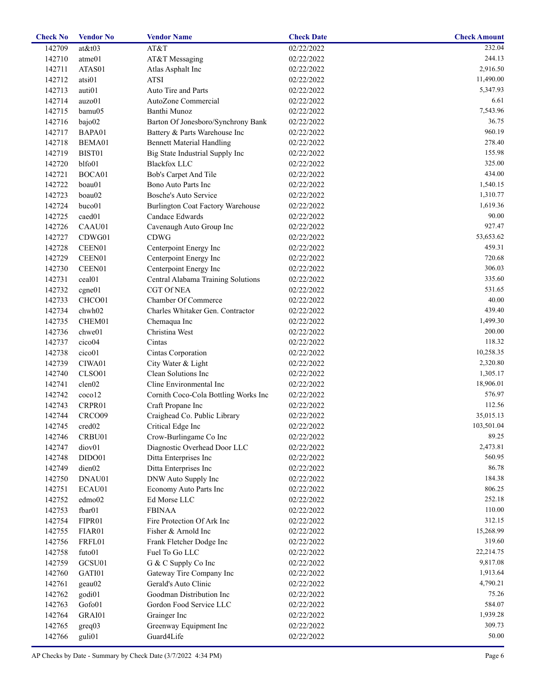| <b>Check No</b> | <b>Vendor No</b>   | <b>Vendor Name</b>                       | <b>Check Date</b> | <b>Check Amount</b> |
|-----------------|--------------------|------------------------------------------|-------------------|---------------------|
| 142709          | at&t03             | AT&T                                     | 02/22/2022        | 232.04              |
| 142710          | atme01             | AT&T Messaging                           | 02/22/2022        | 244.13              |
| 142711          | ATAS01             | Atlas Asphalt Inc                        | 02/22/2022        | 2,916.50            |
| 142712          | atsi01             | <b>ATSI</b>                              | 02/22/2022        | 11,490.00           |
| 142713          | auti01             | Auto Tire and Parts                      | 02/22/2022        | 5,347.93            |
| 142714          | auzo01             | AutoZone Commercial                      | 02/22/2022        | 6.61                |
| 142715          | bamu05             | Banthi Munoz                             | 02/22/2022        | 7,543.96            |
| 142716          | bajo02             | Barton Of Jonesboro/Synchrony Bank       | 02/22/2022        | 36.75               |
| 142717          | BAPA01             | Battery & Parts Warehouse Inc            | 02/22/2022        | 960.19              |
| 142718          | BEMA01             | <b>Bennett Material Handling</b>         | 02/22/2022        | 278.40              |
| 142719          | BIST01             | Big State Industrial Supply Inc          | 02/22/2022        | 155.98              |
| 142720          | blfo01             | <b>Blackfox LLC</b>                      | 02/22/2022        | 325.00              |
| 142721          | BOCA01             | Bob's Carpet And Tile                    | 02/22/2022        | 434.00              |
| 142722          | boau01             | Bono Auto Parts Inc                      | 02/22/2022        | 1,540.15            |
| 142723          | boau02             | Bosche's Auto Service                    | 02/22/2022        | 1,310.77            |
| 142724          | buco01             | <b>Burlington Coat Factory Warehouse</b> | 02/22/2022        | 1,619.36            |
| 142725          | caed01             | Candace Edwards                          | 02/22/2022        | 90.00               |
| 142726          | CAAU01             | Cavenaugh Auto Group Inc                 | 02/22/2022        | 927.47              |
| 142727          | CDWG01             | <b>CDWG</b>                              | 02/22/2022        | 53,653.62           |
| 142728          | CEEN01             | Centerpoint Energy Inc                   | 02/22/2022        | 459.31              |
| 142729          | CEEN01             | Centerpoint Energy Inc                   | 02/22/2022        | 720.68              |
| 142730          | CEEN01             | Centerpoint Energy Inc                   | 02/22/2022        | 306.03              |
| 142731          | ceal01             | Central Alabama Training Solutions       | 02/22/2022        | 335.60              |
| 142732          | cgne01             | <b>CGT Of NEA</b>                        | 02/22/2022        | 531.65              |
| 142733          | CHCO01             | Chamber Of Commerce                      | 02/22/2022        | 40.00               |
| 142734          | chwh02             | Charles Whitaker Gen. Contractor         | 02/22/2022        | 439.40              |
| 142735          | CHEM01             | Chemaqua Inc                             | 02/22/2022        | 1,499.30            |
| 142736          | chwe01             | Christina West                           | 02/22/2022        | 200.00              |
| 142737          | cico04             | Cintas                                   | 02/22/2022        | 118.32              |
| 142738          | cico01             | Cintas Corporation                       | 02/22/2022        | 10,258.35           |
| 142739          | CIWA01             | City Water & Light                       | 02/22/2022        | 2,320.80            |
| 142740          | CLSO01             | Clean Solutions Inc                      | 02/22/2022        | 1,305.17            |
| 142741          | clen02             | Cline Environmental Inc                  | 02/22/2022        | 18,906.01           |
| 142742          | coco12             | Cornith Coco-Cola Bottling Works Inc     | 02/22/2022        | 576.97              |
| 142743          | CRPR01             | Craft Propane Inc                        | 02/22/2022        | 112.56              |
| 142744          | CRCO09             | Craighead Co. Public Library             | 02/22/2022        | 35,015.13           |
| 142745          | cred <sub>02</sub> | Critical Edge Inc                        | 02/22/2022        | 103,501.04          |
| 142746          | CRBU01             | Crow-Burlingame Co Inc                   | 02/22/2022        | 89.25               |
| 142747          | diov01             | Diagnostic Overhead Door LLC             | 02/22/2022        | 2,473.81            |
| 142748          | DIDO01             | Ditta Enterprises Inc                    | 02/22/2022        | 560.95              |
| 142749          | dien02             | Ditta Enterprises Inc                    | 02/22/2022        | 86.78               |
|                 | DNAU01             | DNW Auto Supply Inc                      |                   | 184.38              |
| 142750          |                    |                                          | 02/22/2022        | 806.25              |
| 142751          | ECAU01             | Economy Auto Parts Inc<br>Ed Morse LLC   | 02/22/2022        | 252.18              |
| 142752          | edmo02             | <b>FBINAA</b>                            | 02/22/2022        | 110.00              |
| 142753          | fbar01             |                                          | 02/22/2022        | 312.15              |
| 142754          | FIPR01             | Fire Protection Of Ark Inc               | 02/22/2022        | 15,268.99           |
| 142755          | FIAR01             | Fisher & Arnold Inc                      | 02/22/2022        | 319.60              |
| 142756          | FRFL01             | Frank Fletcher Dodge Inc                 | 02/22/2022        |                     |
| 142758          | futo01             | Fuel To Go LLC                           | 02/22/2022        | 22,214.75           |
| 142759          | GCSU01             | G & C Supply Co Inc                      | 02/22/2022        | 9,817.08            |
| 142760          | GATI01             | Gateway Tire Company Inc                 | 02/22/2022        | 1,913.64            |
| 142761          | geau02             | Gerald's Auto Clinic                     | 02/22/2022        | 4,790.21            |
| 142762          | godi01             | Goodman Distribution Inc                 | 02/22/2022        | 75.26               |
| 142763          | Gofo01             | Gordon Food Service LLC                  | 02/22/2022        | 584.07              |
| 142764          | GRAI01             | Grainger Inc                             | 02/22/2022        | 1,939.28            |
| 142765          | greq03             | Greenway Equipment Inc                   | 02/22/2022        | 309.73              |
| 142766          | guli01             | Guard4Life                               | 02/22/2022        | 50.00               |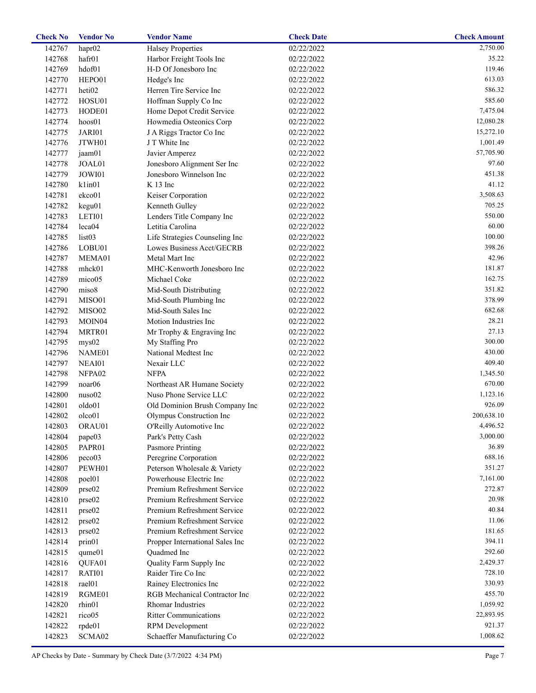| <b>Check No</b> | <b>Vendor No</b>   | <b>Vendor Name</b>                                          | <b>Check Date</b>       | <b>Check Amount</b> |
|-----------------|--------------------|-------------------------------------------------------------|-------------------------|---------------------|
| 142767          | hapr <sub>02</sub> | <b>Halsey Properties</b>                                    | $\overline{02}/22/2022$ | 2,750.00            |
| 142768          | hafr01             | Harbor Freight Tools Inc                                    | 02/22/2022              | 35.22               |
| 142769          | hdof01             | H-D Of Jonesboro Inc                                        | 02/22/2022              | 119.46              |
| 142770          | HEPO01             | Hedge's Inc                                                 | 02/22/2022              | 613.03              |
| 142771          | heti <sub>02</sub> | Herren Tire Service Inc                                     | 02/22/2022              | 586.32              |
| 142772          | HOSU01             | Hoffman Supply Co Inc                                       | 02/22/2022              | 585.60              |
| 142773          | HODE01             | Home Depot Credit Service                                   | 02/22/2022              | 7,475.04            |
| 142774          | hoos01             | Howmedia Osteonics Corp                                     | 02/22/2022              | 12,080.28           |
| 142775          | JARI01             | J A Riggs Tractor Co Inc                                    | 02/22/2022              | 15,272.10           |
| 142776          | JTWH01             | J T White Inc                                               | 02/22/2022              | 1,001.49            |
| 142777          | jaam01             | Javier Amperez                                              | 02/22/2022              | 57,705.90           |
| 142778          | JOAL01             | Jonesboro Alignment Ser Inc                                 | 02/22/2022              | 97.60               |
| 142779          | JOWI01             | Jonesboro Winnelson Inc                                     | 02/22/2022              | 451.38              |
| 142780          | klim01             | $K$ 13 Inc                                                  | 02/22/2022              | 41.12               |
| 142781          | ekco01             | Keiser Corporation                                          | 02/22/2022              | 3,508.63            |
| 142782          | kegu01             | Kenneth Gulley                                              | 02/22/2022              | 705.25              |
| 142783          | LETI01             | Lenders Title Company Inc                                   | 02/22/2022              | 550.00              |
| 142784          | leca04             | Letitia Carolina                                            | 02/22/2022              | 60.00               |
|                 |                    |                                                             |                         | 100.00              |
| 142785          | list03             | Life Strategies Counseling Inc<br>Lowes Business Acct/GECRB | 02/22/2022              | 398.26              |
| 142786          | LOBU01             |                                                             | 02/22/2022              | 42.96               |
| 142787          | MEMA01             | Metal Mart Inc                                              | 02/22/2022              |                     |
| 142788          | mhck01             | MHC-Kenworth Jonesboro Inc                                  | 02/22/2022              | 181.87              |
| 142789          | mico05             | Michael Coke                                                | 02/22/2022              | 162.75              |
| 142790          | miso8              | Mid-South Distributing                                      | 02/22/2022              | 351.82              |
| 142791          | MISO01             | Mid-South Plumbing Inc                                      | 02/22/2022              | 378.99              |
| 142792          | MISO02             | Mid-South Sales Inc                                         | 02/22/2022              | 682.68              |
| 142793          | MOIN <sub>04</sub> | Motion Industries Inc                                       | 02/22/2022              | 28.21               |
| 142794          | MRTR01             | Mr Trophy & Engraving Inc                                   | 02/22/2022              | 27.13               |
| 142795          | mys02              | My Staffing Pro                                             | 02/22/2022              | 300.00              |
| 142796          | NAME01             | National Medtest Inc                                        | 02/22/2022              | 430.00              |
| 142797          | NEAI01             | Nexair LLC                                                  | 02/22/2022              | 409.40              |
| 142798          | NFPA02             | <b>NFPA</b>                                                 | 02/22/2022              | 1,345.50            |
| 142799          | noar <sub>06</sub> | Northeast AR Humane Society                                 | 02/22/2022              | 670.00              |
| 142800          | nuso02             | Nuso Phone Service LLC                                      | 02/22/2022              | 1,123.16            |
| 142801          | oldo01             | Old Dominion Brush Company Inc                              | 02/22/2022              | 926.09              |
| 142802          | olco01             | Olympus Construction Inc                                    | 02/22/2022              | 200,638.10          |
| 142803          | ORAU01             | O'Reilly Automotive Inc                                     | 02/22/2022              | 4,496.52            |
| 142804          | pape03             | Park's Petty Cash                                           | 02/22/2022              | 3,000.00            |
| 142805          | PAPR01             | Pasmore Printing                                            | 02/22/2022              | 36.89               |
| 142806          | peco03             | Peregrine Corporation                                       | 02/22/2022              | 688.16              |
| 142807          | PEWH01             | Peterson Wholesale & Variety                                | 02/22/2022              | 351.27              |
| 142808          | poel01             | Powerhouse Electric Inc                                     | 02/22/2022              | 7,161.00            |
| 142809          | prse02             | Premium Refreshment Service                                 | 02/22/2022              | 272.87              |
| 142810          | prse02             | Premium Refreshment Service                                 | 02/22/2022              | 20.98               |
| 142811          | prse02             | Premium Refreshment Service                                 | 02/22/2022              | 40.84               |
| 142812          | prse02             | Premium Refreshment Service                                 | 02/22/2022              | 11.06               |
| 142813          | prse02             | Premium Refreshment Service                                 | 02/22/2022              | 181.65              |
| 142814          | prin01             | Propper International Sales Inc                             | 02/22/2022              | 394.11              |
| 142815          | qume01             | Quadmed Inc                                                 | 02/22/2022              | 292.60              |
| 142816          | QUFA01             | Quality Farm Supply Inc                                     | 02/22/2022              | 2,429.37            |
|                 |                    |                                                             |                         | 728.10              |
| 142817          | RATI01             | Raider Tire Co Inc                                          | 02/22/2022              |                     |
| 142818          | rael01             | Rainey Electronics Inc                                      | 02/22/2022              | 330.93              |
| 142819          | RGME01             | RGB Mechanical Contractor Inc                               | 02/22/2022              | 455.70              |
| 142820          | rhin01             | <b>Rhomar Industries</b>                                    | 02/22/2022              | 1,059.92            |
| 142821          | rico05             | <b>Ritter Communications</b>                                | 02/22/2022              | 22,893.95           |
| 142822          | rpde01             | RPM Development                                             | 02/22/2022              | 921.37              |
| 142823          | SCMA02             | Schaeffer Manufacturing Co                                  | 02/22/2022              | 1,008.62            |